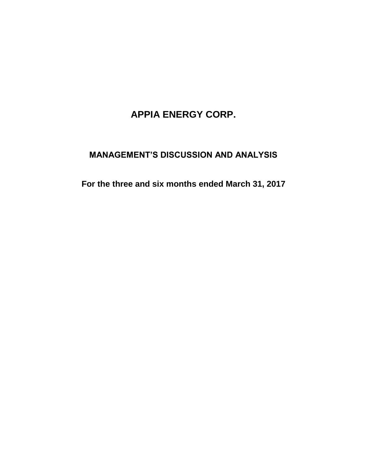# **APPIA ENERGY CORP.**

## **MANAGEMENT'S DISCUSSION AND ANALYSIS**

**For the three and six months ended March 31, 2017**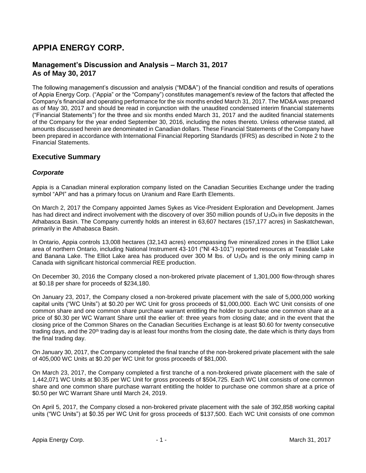## **APPIA ENERGY CORP.**

## **Management's Discussion and Analysis – March 31, 2017 As of May 30, 2017**

The following management's discussion and analysis ("MD&A") of the financial condition and results of operations of Appia Energy Corp. ("Appia" or the "Company") constitutes management's review of the factors that affected the Company's financial and operating performance for the six months ended March 31, 2017. The MD&A was prepared as of May 30, 2017 and should be read in conjunction with the unaudited condensed interim financial statements ("Financial Statements") for the three and six months ended March 31, 2017 and the audited financial statements of the Company for the year ended September 30, 2016, including the notes thereto. Unless otherwise stated, all amounts discussed herein are denominated in Canadian dollars. These Financial Statements of the Company have been prepared in accordance with International Financial Reporting Standards (IFRS) as described in Note 2 to the Financial Statements.

## **Executive Summary**

### *Corporate*

Appia is a Canadian mineral exploration company listed on the Canadian Securities Exchange under the trading symbol "API" and has a primary focus on Uranium and Rare Earth Elements.

On March 2, 2017 the Company appointed James Sykes as Vice-President Exploration and Development. James has had direct and indirect involvement with the discovery of over 350 million pounds of  $U_3O_8$  in five deposits in the Athabasca Basin. The Company currently holds an interest in 63,607 hectares (157,177 acres) in Saskatchewan, primarily in the Athabasca Basin.

In Ontario, Appia controls 13,008 hectares (32,143 acres) encompassing five mineralized zones in the Elliot Lake area of northern Ontario, including National Instrument 43-101 ("NI 43-101") reported resources at Teasdale Lake and Banana Lake. The Elliot Lake area has produced over 300 M lbs. of  $U_3O_8$  and is the only mining camp in Canada with significant historical commercial REE production.

On December 30, 2016 the Company closed a non-brokered private placement of 1,301,000 flow-through shares at \$0.18 per share for proceeds of \$234,180.

On January 23, 2017, the Company closed a non-brokered private placement with the sale of 5,000,000 working capital units ("WC Units") at \$0.20 per WC Unit for gross proceeds of \$1,000,000. Each WC Unit consists of one common share and one common share purchase warrant entitling the holder to purchase one common share at a price of \$0.30 per WC Warrant Share until the earlier of: three years from closing date; and in the event that the closing price of the Common Shares on the Canadian Securities Exchange is at least \$0.60 for twenty consecutive trading days, and the 20th trading day is at least four months from the closing date, the date which is thirty days from the final trading day.

On January 30, 2017, the Company completed the final tranche of the non-brokered private placement with the sale of 405,000 WC Units at \$0.20 per WC Unit for gross proceeds of \$81,000.

On March 23, 2017, the Company completed a first tranche of a non-brokered private placement with the sale of 1,442,071 WC Units at \$0.35 per WC Unit for gross proceeds of \$504,725. Each WC Unit consists of one common share and one common share purchase warrant entitling the holder to purchase one common share at a price of \$0.50 per WC Warrant Share until March 24, 2019.

On April 5, 2017, the Company closed a non-brokered private placement with the sale of 392,858 working capital units ("WC Units") at \$0.35 per WC Unit for gross proceeds of \$137,500. Each WC Unit consists of one common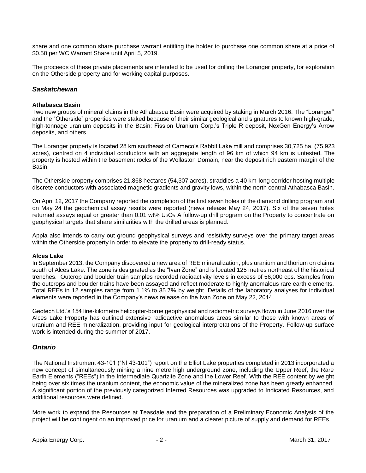share and one common share purchase warrant entitling the holder to purchase one common share at a price of \$0.50 per WC Warrant Share until April 5, 2019.

The proceeds of these private placements are intended to be used for drilling the Loranger property, for exploration on the Otherside property and for working capital purposes.

#### *Saskatchewan*

#### **Athabasca Basin**

Two new groups of mineral claims in the Athabasca Basin were acquired by staking in March 2016. The "Loranger" and the "Otherside" properties were staked because of their similar geological and signatures to known high-grade, high-tonnage uranium deposits in the Basin: Fission Uranium Corp.'s Triple R deposit, NexGen Energy's Arrow deposits, and others.

The Loranger property is located 28 km southeast of Cameco's Rabbit Lake mill and comprises 30,725 ha. (75,923 acres), centred on 4 individual conductors with an aggregate length of 96 km of which 94 km is untested. The property is hosted within the basement rocks of the Wollaston Domain, near the deposit rich eastern margin of the Basin.

The Otherside property comprises 21,868 hectares (54,307 acres), straddles a 40 km-long corridor hosting multiple discrete conductors with associated magnetic gradients and gravity lows, within the north central Athabasca Basin.

On April 12, 2017 the Company reported the completion of the first seven holes of the diamond drilling program and on May 24 the geochemical assay results were reported (news release May 24, 2017). Six of the seven holes returned assays equal or greater than 0.01 wt% U<sub>3</sub>O<sub>8</sub>. A follow-up drill program on the Property to concentrate on geophysical targets that share similarities with the drilled areas is planned.

Appia also intends to carry out ground geophysical surveys and resistivity surveys over the primary target areas within the Otherside property in order to elevate the property to drill-ready status.

#### **Alces Lake**

In September 2013, the Company discovered a new area of REE mineralization, plus uranium and thorium on claims south of Alces Lake. The zone is designated as the "Ivan Zone" and is located 125 metres northeast of the historical trenches. Outcrop and boulder train samples recorded radioactivity levels in excess of 56,000 cps. Samples from the outcrops and boulder trains have been assayed and reflect moderate to highly anomalous rare earth elements. Total REEs in 12 samples range from 1.1% to 35.7% by weight. Details of the laboratory analyses for individual elements were reported in the Company's news release on the Ivan Zone on May 22, 2014.

Geotech Ltd.'s 154 line-kilometre helicopter-borne geophysical and radiometric surveys flown in June 2016 over the Alces Lake Property has outlined extensive radioactive anomalous areas similar to those with known areas of uranium and REE mineralization, providing input for geological interpretations of the Property. Follow-up surface work is intended during the summer of 2017.

#### *Ontario*

The National Instrument 43-101 ("NI 43-101") report on the Elliot Lake properties completed in 2013 incorporated a new concept of simultaneously mining a nine metre high underground zone, including the Upper Reef, the Rare Earth Elements ("REEs") in the Intermediate Quartzite Zone and the Lower Reef. With the REE content by weight being over six times the uranium content, the economic value of the mineralized zone has been greatly enhanced. A significant portion of the previously categorized Inferred Resources was upgraded to Indicated Resources, and additional resources were defined.

More work to expand the Resources at Teasdale and the preparation of a Preliminary Economic Analysis of the project will be contingent on an improved price for uranium and a clearer picture of supply and demand for REEs.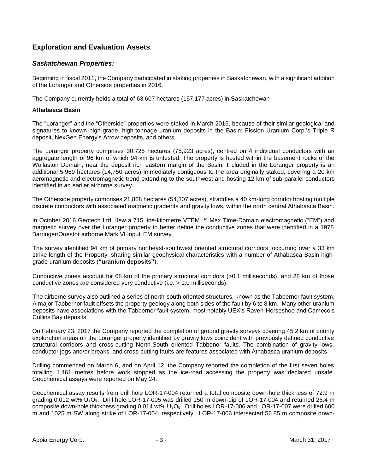## **Exploration and Evaluation Assets**

#### *Saskatchewan Properties:*

Beginning in fiscal 2011, the Company participated in staking properties in Saskatchewan, with a significant addition of the Loranger and Otherside properties in 2016.

The Company currently holds a total of 63,607 hectares (157,177 acres) in Saskatchewan

#### **Athabasca Basin**

The "Loranger" and the "Otherside" properties were staked in March 2016, because of their similar geological and signatures to known high-grade, high-tonnage uranium deposits in the Basin: Fission Uranium Corp.'s Triple R deposit, NexGen Energy's Arrow deposits, and others.

The Loranger property comprises 30,725 hectares (75,923 acres), centred on 4 individual conductors with an aggregate length of 96 km of which 94 km is untested. The property is hosted within the basement rocks of the Wollaston Domain, near the deposit rich eastern margin of the Basin. Included in the Loranger property is an additional 5,969 hectares (14,750 acres) immediately contiguous to the area originally staked, covering a 20 km aeromagnetic and electromagnetic trend extending to the southwest and hosting 12 km of sub-parallel conductors identified in an earlier airborne survey.

The Otherside property comprises 21,868 hectares (54,307 acres), straddles a 40 km-long corridor hosting multiple discrete conductors with associated magnetic gradients and gravity lows, within the north central Athabasca Basin.

In October 2016 Geotech Ltd. flew a 715 line-kilometre VTEM TM Max Time-Domain electromagnetic ("EM") and magnetic survey over the Loranger property to better define the conductive zones that were identified in a 1978 Barringer/Questor airborne Mark VI Input EM survey.

The survey identified 94 km of primary northeast-southwest oriented structural corridors, occurring over a 33 km strike length of the Property, sharing similar geophysical characteristics with a number of Athabasca Basin highgrade uranium deposits (**"uranium deposits"**).

Conductive zones account for 68 km of the primary structural corridors (>0.1 milliseconds), and 28 km of those conductive zones are considered very conductive (i.e. > 1.0 milliseconds).

The airborne survey also outlined a series of north-south oriented structures, known as the Tabbernor fault system. A major Tabbernor fault offsets the property geology along both sides of the fault by 6 to 8 km. Many other uranium deposits have associations with the Tabbernor fault system, most notably UEX's Raven-Horseshoe and Cameco's Collins Bay deposits.

On February 23, 2017 the Company reported the completion of ground gravity surveys covering 45.2 km of priority exploration areas on the Loranger property identified by gravity lows coincident with previously defined conductive structural corridors and cross-cutting North-South oriented Tabbenor faults. The combination of gravity lows, conductor jogs and/or breaks, and cross-cutting faults are features associated with Athabasca uranium deposits.

Drilling commenced on March 6, and on April 12, the Company reported the completion of the first seven holes totalling 1,461 metres before work stopped as the ice-road accessing the property was declared unsafe. Geochemical assays were reported on May 24.

Geochemical assay results from drill hole LOR-17-004 returned a total composite down-hole thickness of 72.9 m grading 0.012 wt% U<sub>3</sub>O<sub>8</sub>. Drill hole LOR-17-005 was drilled 150 m down-dip of LOR-17-004 and returned 26.4 m composite down-hole thickness grading 0.014 wt% U3O8. Drill holes LOR-17-006 and LOR-17-007 were drilled 600 m and 1025 m SW along strike of LOR-17-004, respectively. LOR-17-006 intersected 56.85 m composite down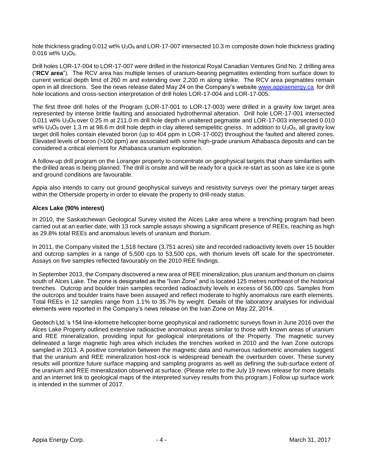hole thickness grading 0.012 wt% U<sub>3</sub>O<sub>8</sub> and LOR-17-007 intersected 10.3 m composite down hole thickness grading  $0.016$  wt%  $U_3O_8$ .

Drill holes LOR-17-004 to LOR-17-007 were drilled in the historical Royal Canadian Ventures Grid No. 2 drilling area ("**RCV area**"). The RCV area has multiple lenses of uranium-bearing pegmatites extending from surface down to current vertical depth limit of 260 m and extending over 2,200 m along strike. The RCV area pegmatites remain open in all directions. See the news release dated May 24 on the Company's website [www.appiaenergy.ca](http://www.appiaenergy.ca/) for drill hole locations and cross-section interpretation of drill holes LOR-17-004 and LOR-17-005.

The first three drill holes of the Program (LOR-17-001 to LOR-17-003) were drilled in a gravity low target area represented by intense brittle faulting and associated hydrothermal alteration. Drill hole LOR-17-001 intersected 0.011 wt%  $U_3O_8$  over 0.25 m at 211.0 m drill hole depth in unaltered pegmatite and LOR-17-003 intersected 0.010 wt%  $U_3O_8$  over 1.3 m at 98.6 m drill hole depth in clay altered semipelitic gneiss. In addition to  $U_3O_8$ , all gravity low target drill holes contain elevated boron (up to 404 ppm in LOR-17-002) throughout the faulted and altered zones. Elevated levels of boron (>100 ppm) are associated with some high-grade uranium Athabasca deposits and can be considered a critical element for Athabasca uranium exploration.

A follow-up drill program on the Loranger property to concentrate on geophysical targets that share similarities with the drilled areas is being planned. The drill is onsite and will be ready for a quick re-start as soon as lake ice is gone and ground conditions are favourable.

Appia also intends to carry out ground geophysical surveys and resistivity surveys over the primary target areas within the Otherside property in order to elevate the property to drill-ready status.

#### **Alces Lake (90% interest)**

In 2010, the Saskatchewan Geological Survey visited the Alces Lake area where a trenching program had been carried out at an earlier date, with 13 rock sample assays showing a significant presence of REEs, reaching as high as 29.8% total REEs and anomalous levels of uranium and thorium.

In 2011, the Company visited the 1,518 hectare (3,751 acres) site and recorded radioactivity levels over 15 boulder and outcrop samples in a range of 5,500 cps to 53,500 cps, with thorium levels off scale for the spectrometer. Assays on five samples reflected favourably on the 2010 REE findings.

In September 2013, the Company discovered a new area of REE mineralization, plus uranium and thorium on claims south of Alces Lake. The zone is designated as the "Ivan Zone" and is located 125 metres northeast of the historical trenches. Outcrop and boulder train samples recorded radioactivity levels in excess of 56,000 cps. Samples from the outcrops and boulder trains have been assayed and reflect moderate to highly anomalous rare earth elements. Total REEs in 12 samples range from 1.1% to 35.7% by weight. Details of the laboratory analyses for individual elements were reported in the Company's news release on the Ivan Zone on May 22, 2014.

Geotech Ltd.'s 154 line-kilometre helicopter-borne geophysical and radiometric surveys flown in June 2016 over the Alces Lake Property outlined extensive radioactive anomalous areas similar to those with known areas of uranium and REE mineralization, providing input for geological interpretations of the Property. The magnetic survey delineated a large magnetic high area which includes the trenches worked in 2010 and the Ivan Zone outcrops sampled in 2013. A positive correlation between the magnetic data and numerous radiometric anomalies suggest that the uranium and REE mineralization host-rock is widespread beneath the overburden cover. These survey results will prioritize future surface mapping and sampling programs as well as defining the sub-surface extent of the uranium and REE mineralization observed at surface. (Please refer to the July 19 news release for more details and an internet link to geological maps of the interpreted survey results from this program.) Follow up surface work is intended in the summer of 2017.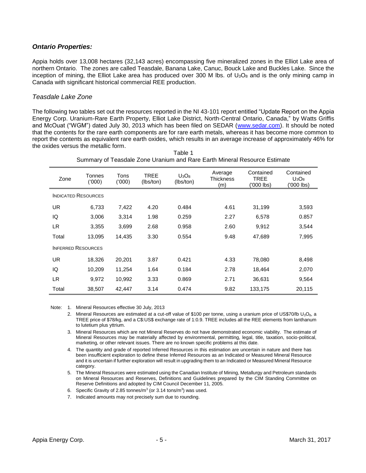#### *Ontario Properties:*

Appia holds over 13,008 hectares (32,143 acres) encompassing five mineralized zones in the Elliot Lake area of northern Ontario. The zones are called Teasdale, Banana Lake, Canuc, Bouck Lake and Buckles Lake. Since the inception of mining, the Elliot Lake area has produced over 300 M lbs. of  $U_3O_8$  and is the only mining camp in Canada with significant historical commercial REE production.

#### *Teasdale Lake Zone*

The following two tables set out the resources reported in the NI 43-101 report entitled "Update Report on the Appia Energy Corp. Uranium-Rare Earth Property, Elliot Lake District, North-Central Ontario, Canada," by Watts Griffis and McOuat ("WGM") dated July 30, 2013 which has been filed on SEDAR [\(www.sedar.com\)](http://www.sedar.com/). It should be noted that the contents for the rare earth components are for rare earth metals, whereas it has become more common to report the contents as equivalent rare earth oxides, which results in an average increase of approximately 46% for the oxides versus the metallic form.

Table 1

| Summary of Teasdale Zone Uranium and Rare Earth Mineral Resource Estimate |                 |               |                   |                       |                             |                                       |                                     |
|---------------------------------------------------------------------------|-----------------|---------------|-------------------|-----------------------|-----------------------------|---------------------------------------|-------------------------------------|
| Zone                                                                      | Tonnes<br>(000) | Tons<br>(000) | TREE<br>(lbs/ton) | $U_3O_8$<br>(lbs/ton) | Average<br>Thickness<br>(m) | Contained<br><b>TREE</b><br>'000 lbs) | Contained<br>$U_3O_8$<br>('000 lbs) |
| <b>INDICATED RESOURCES</b>                                                |                 |               |                   |                       |                             |                                       |                                     |
| UR.                                                                       | 6.733           | 7,422         | 4.20              | 0.484                 | 4.61                        | 31,199                                | 3,593                               |
| IQ                                                                        | 3,006           | 3,314         | 1.98              | 0.259                 | 2.27                        | 6,578                                 | 0.857                               |
| LR.                                                                       | 3,355           | 3,699         | 2.68              | 0.958                 | 2.60                        | 9,912                                 | 3,544                               |
| Total                                                                     | 13,095          | 14.435        | 3.30              | 0.554                 | 9.48                        | 47,689                                | 7,995                               |
| <b>INFERRED RESOURCES</b>                                                 |                 |               |                   |                       |                             |                                       |                                     |
| UR.                                                                       | 18,326          | 20,201        | 3.87              | 0.421                 | 4.33                        | 78,080                                | 8,498                               |
| IQ                                                                        | 10,209          | 11,254        | 1.64              | 0.184                 | 2.78                        | 18,464                                | 2,070                               |
| LR.                                                                       | 9,972           | 10,992        | 3.33              | 0.869                 | 2.71                        | 36,631                                | 9,564                               |
| Total                                                                     | 38,507          | 42,447        | 3.14              | 0.474                 | 9.82                        | 133,175                               | 20,115                              |

Note: 1. Mineral Resources effective 30 July, 2013

- 2. Mineral Resources are estimated at a cut-off value of \$100 per tonne, using a uranium price of US\$70/lb U<sub>3</sub>O<sub>8</sub>, a TREE price of \$78/kg, and a C\$:US\$ exchange rate of 1:0.9. TREE includes all the REE elements from lanthanum to lutetium plus yttrium.
- 3. Mineral Resources which are not Mineral Reserves do not have demonstrated economic viability. The estimate of Mineral Resources may be materially affected by environmental, permitting, legal, title, taxation, socio-political, marketing, or other relevant issues. There are no known specific problems at this date.
- 4. The quantity and grade of reported Inferred Resources in this estimation are uncertain in nature and there has been insufficient exploration to define these Inferred Resources as an Indicated or Measured Mineral Resource and it is uncertain if further exploration will result in upgrading them to an Indicated or Measured Mineral Resource category.
- 5. The Mineral Resources were estimated using the Canadian Institute of Mining, Metallurgy and Petroleum standards on Mineral Resources and Reserves, Definitions and Guidelines prepared by the CIM Standing Committee on Reserve Definitions and adopted by CIM Council December 11, 2005.
- 6. Specific Gravity of 2.85 tonnes/ $m^3$  (or 3.14 tons/ $m^3$ ) was used.

7. Indicated amounts may not precisely sum due to rounding.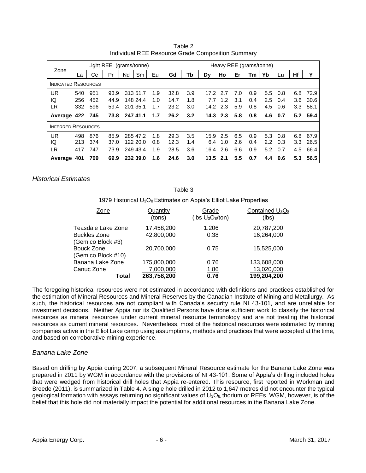|                            | Light REE<br>(grams/tonne) |     |      |    | Heavy REE (grams/tonne) |     |      |     |      |            |     |     |     |     |     |      |
|----------------------------|----------------------------|-----|------|----|-------------------------|-----|------|-----|------|------------|-----|-----|-----|-----|-----|------|
| Zone                       | La                         | Сe  | Pr   | Nd | Sm                      | Eu  | Gd   | Tb  | Dν   | Ho         | Er  | Tm  | Yb  | Lu  | Hf  | v    |
| <b>INDICATED RESOURCES</b> |                            |     |      |    |                         |     |      |     |      |            |     |     |     |     |     |      |
| <b>UR</b>                  | 540                        | 951 | 93.9 |    | 313 51.7                | 1.9 | 32.8 | 3.9 | 17.2 | 2.7        | 7.0 | 0.9 | 5.5 | 0.8 | 6.8 | 72.9 |
| IQ                         | 256                        | 452 | 44.9 |    | 148 24.4                | 1.0 | 14.7 | 1.8 | 7.7  | 1.2        | 3.1 | 0.4 | 2.5 | 0.4 | 3.6 | 30.6 |
| LR                         | 332                        | 596 | 59.4 |    | 201 35.1                | 1.7 | 23.2 | 3.0 | 14.2 | 2.3        | 5.9 | 0.8 | 4.5 | 0.6 | 3.3 | 58.1 |
| Average                    | 422                        | 745 | 73.8 |    | 247 41.1                | 1.7 | 26.2 | 3.2 |      | $14.3$ 2.3 | 5.8 | 0.8 | 4.6 | 0.7 | 5.2 | 59.4 |
| <b>INFERRED RESOURCES</b>  |                            |     |      |    |                         |     |      |     |      |            |     |     |     |     |     |      |
| <b>UR</b>                  | 498                        | 876 | 85.9 |    | 285 47.2                | 1.8 | 29.3 | 3.5 | 15.9 | 2.5        | 6.5 | 0.9 | 5.3 | 0.8 | 6.8 | 67.9 |
| IQ                         | 213                        | 374 | 37.0 |    | 122 20.0                | 0.8 | 12.3 | 1.4 | 6.4  | 1.0        | 2.6 | 0.4 | 2.2 | 0.3 | 3.3 | 26.5 |
| LR                         | 417                        | 747 | 73.9 |    | 249 43.4                | 1.9 | 28.5 | 3.6 | 16.4 | 2.6        | 6.6 | 0.9 | 5.2 | 0.7 | 4.5 | 66.4 |
| Average                    | 401                        | 709 | 69.9 |    | 232 39.0                | 1.6 | 24.6 | 3.0 |      | $13.5$ 2.1 | 5.5 | 0.7 | 4.4 | 0.6 | 5.3 | 56.5 |

Table 2 Individual REE Resource Grade Composition Summary

*Historical Estimates*

#### Table 3

1979 Historical U3O<sup>8</sup> Estimates on Appia's Elliot Lake Properties

| Zone                                     | Quantity<br>(tons)       | Grade<br>(lbs $U_3O_8$ /ton) | Contained U <sub>3</sub> O <sub>8</sub><br>(lbs) |
|------------------------------------------|--------------------------|------------------------------|--------------------------------------------------|
| Teasdale Lake Zone                       | 17,458,200               | 1.206                        | 20,787,200                                       |
| <b>Buckles Zone</b><br>(Gemico Block #3) | 42,800,000               | 0.38                         | 16,264,000                                       |
| <b>Bouck Zone</b><br>(Gemico Block #10)  | 20,700,000               | 0.75                         | 15,525,000                                       |
| Banana Lake Zone                         | 175,800,000              | 0.76                         | 133,608,000                                      |
| Canuc Zone<br>Total                      | 7,000,000<br>263,758,200 | <u>1.86</u><br>0.76          | 13,020,000<br>199,204,200                        |

The foregoing historical resources were not estimated in accordance with definitions and practices established for the estimation of Mineral Resources and Mineral Reserves by the Canadian Institute of Mining and Metallurgy. As such, the historical resources are not compliant with Canada's security rule NI 43-101, and are unreliable for investment decisions. Neither Appia nor its Qualified Persons have done sufficient work to classify the historical resources as mineral resources under current mineral resource terminology and are not treating the historical resources as current mineral resources. Nevertheless, most of the historical resources were estimated by mining companies active in the Elliot Lake camp using assumptions, methods and practices that were accepted at the time, and based on corroborative mining experience.

#### *Banana Lake Zone*

Based on drilling by Appia during 2007, a subsequent Mineral Resource estimate for the Banana Lake Zone was prepared in 2011 by WGM in accordance with the provisions of NI 43-101. Some of Appia's drilling included holes that were wedged from historical drill holes that Appia re-entered. This resource, first reported in Workman and Breede (2011), is summarized in Table 4. A single hole drilled in 2012 to 1,647 metres did not encounter the typical geological formation with assays returning no significant values of  $U_3O_8$ , thorium or REEs. WGM, however, is of the belief that this hole did not materially impact the potential for additional resources in the Banana Lake Zone.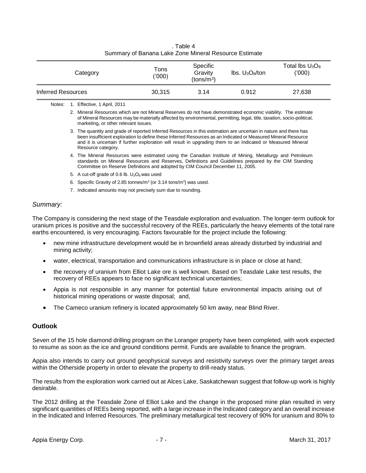| Category           | Tons<br>('000) | Specific<br>Gravity<br>(tons/m <sup>3</sup> ) | $\text{lbs. } \text{U}_3\text{O}_8/\text{ton}$ | Total lbs $U_3O_8$<br>('000) |
|--------------------|----------------|-----------------------------------------------|------------------------------------------------|------------------------------|
| Inferred Resources | 30.315         | 3.14                                          | 0.912                                          | 27,638                       |

. Table 4 Summary of Banana Lake Zone Mineral Resource Estimate

- 5. A cut-off grade of 0.6 lb.  $U_3O_8$  was used
- 6. Specific Gravity of 2.85 tonnes/ $m^3$  (or 3.14 tons/ $m^3$ ) was used.
- 7. Indicated amounts may not precisely sum due to rounding.

#### *Summary:*

The Company is considering the next stage of the Teasdale exploration and evaluation. The longer-term outlook for uranium prices is positive and the successful recovery of the REEs, particularly the heavy elements of the total rare earths encountered, is very encouraging. Factors favourable for the project include the following:

- new mine infrastructure development would be in brownfield areas already disturbed by industrial and mining activity;
- water, electrical, transportation and communications infrastructure is in place or close at hand;
- the recovery of uranium from Elliot Lake ore is well known. Based on Teasdale Lake test results, the recovery of REEs appears to face no significant technical uncertainties;
- Appia is not responsible in any manner for potential future environmental impacts arising out of historical mining operations or waste disposal; and,
- The Cameco uranium refinery is located approximately 50 km away, near Blind River.

#### **Outlook**

Seven of the 15 hole diamond drilling program on the Loranger property have been completed, with work expected to resume as soon as the ice and ground conditions permit. Funds are available to finance the program.

Appia also intends to carry out ground geophysical surveys and resistivity surveys over the primary target areas within the Otherside property in order to elevate the property to drill-ready status.

The results from the exploration work carried out at Alces Lake, Saskatchewan suggest that follow-up work is highly desirable.

The 2012 drilling at the Teasdale Zone of Elliot Lake and the change in the proposed mine plan resulted in very significant quantities of REEs being reported, with a large increase in the Indicated category and an overall increase in the Indicated and Inferred Resources. The preliminary metallurgical test recovery of 90% for uranium and 80% to

Notes: 1. Effective, 1 April, 2011

<sup>2.</sup> Mineral Resources which are not Mineral Reserves do not have demonstrated economic viability. The estimate of Mineral Resources may be materially affected by environmental, permitting, legal, title, taxation, socio-political, marketing, or other relevant issues.

<sup>3.</sup> The quantity and grade of reported Inferred Resources in this estimation are uncertain in nature and there has been insufficient exploration to define these Inferred Resources as an Indicated or Measured Mineral Resource and it is uncertain if further exploration will result in upgrading them to an Indicated or Measured Mineral Resource category.

<sup>4.</sup> The Mineral Resources were estimated using the Canadian Institute of Mining, Metallurgy and Petroleum standards on Mineral Resources and Reserves, Definitions and Guidelines prepared by the CIM Standing Committee on Reserve Definitions and adopted by CIM Council December 11, 2005.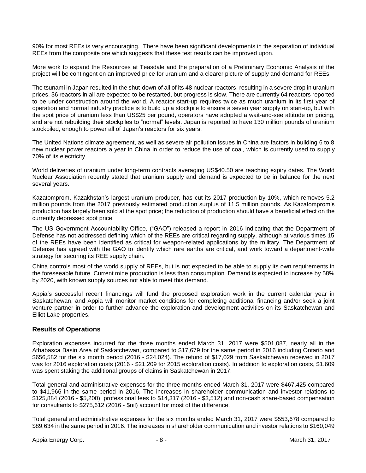90% for most REEs is very encouraging. There have been significant developments in the separation of individual REEs from the composite ore which suggests that these test results can be improved upon.

More work to expand the Resources at Teasdale and the preparation of a Preliminary Economic Analysis of the project will be contingent on an improved price for uranium and a clearer picture of supply and demand for REEs.

The tsunami in Japan resulted in the shut-down of all of its 48 nuclear reactors, resulting in a severe drop in uranium prices. 36 reactors in all are expected to be restarted, but progress is slow. There are currently 64 reactors reported to be under construction around the world. A reactor start-up requires twice as much uranium in its first year of operation and normal industry practice is to build up a stockpile to ensure a seven year supply on start-up, but with the spot price of uranium less than US\$25 per pound, operators have adopted a wait-and-see attitude on pricing, and are not rebuilding their stockpiles to "normal" levels. Japan is reported to have 130 million pounds of uranium stockpiled, enough to power all of Japan's reactors for six years.

The United Nations climate agreement, as well as severe air pollution issues in China are factors in building 6 to 8 new nuclear power reactors a year in China in order to reduce the use of coal, which is currently used to supply 70% of its electricity.

World deliveries of uranium under long-term contracts averaging US\$40.50 are reaching expiry dates. The World Nuclear Association recently stated that uranium supply and demand is expected to be in balance for the next several years.

Kazatomprom, Kazakhstan's largest uranium producer, has cut its 2017 production by 10%, which removes 5.2 million pounds from the 2017 previously estimated production surplus of 11.5 million pounds. As Kazatomprom's production has largely been sold at the spot price; the reduction of production should have a beneficial effect on the currently depressed spot price.

The US Government Accountability Office, ("GAO") released a report in 2016 indicating that the Department of Defense has not addressed defining which of the REEs are critical regarding supply, although at various times 15 of the REEs have been identified as critical for weapon-related applications by the military. The Department of Defense has agreed with the GAO to identify which rare earths are critical, and work toward a department-wide strategy for securing its REE supply chain.

China controls most of the world supply of REEs, but is not expected to be able to supply its own requirements in the foreseeable future. Current mine production is less than consumption. Demand is expected to increase by 58% by 2020, with known supply sources not able to meet this demand.

Appia's successful recent financings will fund the proposed exploration work in the current calendar year in Saskatchewan, and Appia will monitor market conditions for completing additional financing and/or seek a joint venture partner in order to further advance the exploration and development activities on its Saskatchewan and Elliot Lake properties.

#### **Results of Operations**

Exploration expenses incurred for the three months ended March 31, 2017 were \$501,087, nearly all in the Athabasca Basin Area of Saskatchewan, compared to \$17,679 for the same period in 2016 including Ontario and \$656,582 for the six month period (2016 - \$24,024). The refund of \$17,029 from Saskatchewan received in 2017 was for 2016 exploration costs (2016 - \$21,209 for 2015 exploration costs). In addition to exploration costs, \$1,609 was spent staking the additional groups of claims in Saskatchewan in 2017.

Total general and administrative expenses for the three months ended March 31, 2017 were \$467,425 compared to \$41,966 in the same period in 2016. The increases in shareholder communication and investor relations to \$125,884 (2016 - \$5,200), professional fees to \$14,317 (2016 - \$3,512) and non-cash share-based compensation for consultants to \$275,612 (2016 - \$nil) account for most of the difference.

Total general and administrative expenses for the six months ended March 31, 2017 were \$553,678 compared to \$89,634 in the same period in 2016. The increases in shareholder communication and investor relations to \$160,049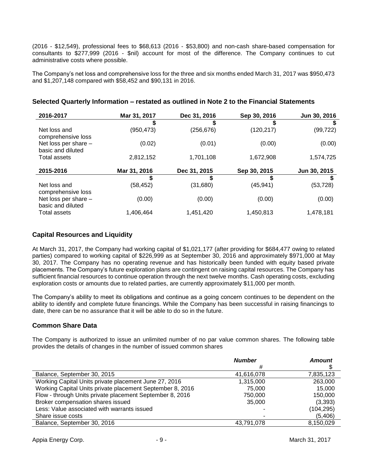(2016 - \$12,549), professional fees to \$68,613 (2016 - \$53,800) and non-cash share-based compensation for consultants to \$277,999 (2016 - \$nil) account for most of the difference. The Company continues to cut administrative costs where possible.

The Company's net loss and comprehensive loss for the three and six months ended March 31, 2017 was \$950,473 and \$1,207,148 compared with \$58,452 and \$90,131 in 2016.

| 2016-2017                                 | Mar 31, 2017 | Dec 31, 2016 | Sep 30, 2016 | Jun 30, 2016 |
|-------------------------------------------|--------------|--------------|--------------|--------------|
|                                           |              | S            |              | S            |
| Net loss and<br>comprehensive loss        | (950, 473)   | (256,676)    | (120, 217)   | (99, 722)    |
| Net loss per share -<br>basic and diluted | (0.02)       | (0.01)       | (0.00)       | (0.00)       |
| Total assets                              | 2,812,152    | 1,701,108    | 1,672,908    | 1,574,725    |
| 2015-2016                                 | Mar 31, 2016 | Dec 31, 2015 | Sep 30, 2015 | Jun 30, 2015 |
|                                           | S            |              | S            |              |
| Net loss and<br>comprehensive loss        | (58, 452)    | (31,680)     | (45, 941)    | (53, 728)    |
| Net loss per share -<br>basic and diluted | (0.00)       | (0.00)       | (0.00)       | (0.00)       |
| Total assets                              | 1,406,464    | 1,451,420    | 1,450,813    | 1,478,181    |

### **Selected Quarterly Information – restated as outlined in Note 2 to the Financial Statements**

#### **Capital Resources and Liquidity**

At March 31, 2017, the Company had working capital of \$1,021,177 (after providing for \$684,477 owing to related parties) compared to working capital of \$226,999 as at September 30, 2016 and approximately \$971,000 at May 30, 2017. The Company has no operating revenue and has historically been funded with equity based private placements. The Company's future exploration plans are contingent on raising capital resources. The Company has sufficient financial resources to continue operation through the next twelve months. Cash operating costs, excluding exploration costs or amounts due to related parties, are currently approximately \$11,000 per month.

The Company's ability to meet its obligations and continue as a going concern continues to be dependent on the ability to identify and complete future financings. While the Company has been successful in raising financings to date, there can be no assurance that it will be able to do so in the future.

#### **Common Share Data**

The Company is authorized to issue an unlimited number of no par value common shares. The following table provides the details of changes in the number of issued common shares

|                                                           | <b>Number</b> | <b>Amount</b> |
|-----------------------------------------------------------|---------------|---------------|
|                                                           | #             |               |
| Balance, September 30, 2015                               | 41,616,078    | 7,835,123     |
| Working Capital Units private placement June 27, 2016     | 1,315,000     | 263,000       |
| Working Capital Units private placement September 8, 2016 | 75.000        | 15.000        |
| Flow - through Units private placement September 8, 2016  | 750,000       | 150,000       |
| Broker compensation shares issued                         | 35,000        | (3,393)       |
| Less: Value associated with warrants issued               |               | (104,295)     |
| Share issue costs                                         |               | (5,406)       |
| Balance, September 30, 2016                               | 43.791.078    | 8,150,029     |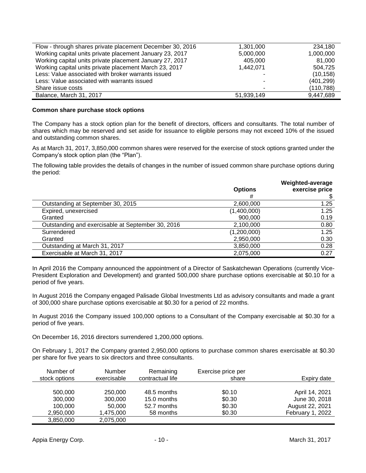| Flow - through shares private placement December 30, 2016 | 1,301,000  | 234,180    |
|-----------------------------------------------------------|------------|------------|
| Working capital units private placement January 23, 2017  | 5,000,000  | 1,000,000  |
| Working capital units private placement January 27, 2017  | 405,000    | 81.000     |
| Working capital units private placement March 23, 2017    | 1.442.071  | 504.725    |
| Less: Value associated with broker warrants issued        |            | (10, 158)  |
| Less: Value associated with warrants issued               |            | (401, 299) |
| Share issue costs                                         |            | (110, 788) |
| Balance, March 31, 2017                                   | 51,939,149 | 9,447,689  |

#### **Common share purchase stock options**

The Company has a stock option plan for the benefit of directors, officers and consultants. The total number of shares which may be reserved and set aside for issuance to eligible persons may not exceed 10% of the issued and outstanding common shares.

As at March 31, 2017, 3,850,000 common shares were reserved for the exercise of stock options granted under the Company's stock option plan (the "Plan").

The following table provides the details of changes in the number of issued common share purchase options during the period:

| <b>Options</b><br># | Weighted-average<br>exercise price |
|---------------------|------------------------------------|
| 2,600,000           | 1.25                               |
| (1,400,000)         | 1.25                               |
| 900,000             | 0.19                               |
| 2,100,000           | 0.80                               |
| (1,200,000)         | 1.25                               |
| 2,950,000           | 0.30                               |
| 3,850,000           | 0.28                               |
| 2,075,000           | 0.27                               |
|                     |                                    |

In April 2016 the Company announced the appointment of a Director of Saskatchewan Operations (currently Vice-President Exploration and Development) and granted 500,000 share purchase options exercisable at \$0.10 for a period of five years.

In August 2016 the Company engaged Palisade Global Investments Ltd as advisory consultants and made a grant of 300,000 share purchase options exercisable at \$0.30 for a period of 22 months.

In August 2016 the Company issued 100,000 options to a Consultant of the Company exercisable at \$0.30 for a period of five years.

On December 16, 2016 directors surrendered 1,200,000 options.

On February 1, 2017 the Company granted 2,950,000 options to purchase common shares exercisable at \$0.30 per share for five years to six directors and three consultants.

| Number of     | <b>Number</b> | Remaining        | Exercise price per |                  |
|---------------|---------------|------------------|--------------------|------------------|
| stock options | exercisable   | contractual life | share              | Expiry date      |
|               |               |                  |                    |                  |
| 500,000       | 250,000       | 48.5 months      | \$0.10             | April 14, 2021   |
| 300,000       | 300,000       | 15.0 months      | \$0.30             | June 30, 2018    |
| 100,000       | 50,000        | 52.7 months      | \$0.30             | August 22, 2021  |
| 2,950,000     | 1,475,000     | 58 months        | \$0.30             | February 1, 2022 |
| 3,850,000     | 2,075,000     |                  |                    |                  |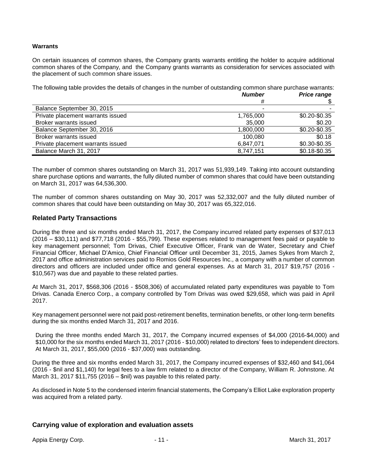#### **Warrants**

On certain issuances of common shares, the Company grants warrants entitling the holder to acquire additional common shares of the Company, and the Company grants warrants as consideration for services associated with the placement of such common share issues.

The following table provides the details of changes in the number of outstanding common share purchase warrants:

|                                   | <b>Number</b> | <b>Price range</b> |
|-----------------------------------|---------------|--------------------|
|                                   | #             |                    |
| Balance September 30, 2015        |               |                    |
| Private placement warrants issued | 1,765,000     | \$0.20-\$0.35      |
| Broker warrants issued            | 35,000        | \$0.20             |
| Balance September 30, 2016        | 1,800,000     | \$0.20-\$0.35      |
| Broker warrants issued            | 100,080       | \$0.18             |
| Private placement warrants issued | 6,847,071     | \$0.30-\$0.35      |
| Balance March 31, 2017            | 8,747,151     | \$0.18-\$0.35      |

The number of common shares outstanding on March 31, 2017 was 51,939,149. Taking into account outstanding share purchase options and warrants, the fully diluted number of common shares that could have been outstanding on March 31, 2017 was 64,536,300.

The number of common shares outstanding on May 30, 2017 was 52,332,007 and the fully diluted number of common shares that could have been outstanding on May 30, 2017 was 65,322,016.

#### **Related Party Transactions**

During the three and six months ended March 31, 2017, the Company incurred related party expenses of \$37,013 (2016 – \$30,111) and \$77,718 (2016 - \$55,799). These expenses related to management fees paid or payable to key management personnel; Tom Drivas, Chief Executive Officer, Frank van de Water, Secretary and Chief Financial Officer, Michael D'Amico, Chief Financial Officer until December 31, 2015, James Sykes from March 2, 2017 and office administration services paid to Romios Gold Resources Inc., a company with a number of common directors and officers are included under office and general expenses. As at March 31, 2017 \$19,757 (2016 - \$10,567) was due and payable to these related parties.

At March 31, 2017, \$568,306 (2016 - \$508,306) of accumulated related party expenditures was payable to Tom Drivas. Canada Enerco Corp., a company controlled by Tom Drivas was owed \$29,658, which was paid in April 2017.

Key management personnel were not paid post-retirement benefits, termination benefits, or other long-term benefits during the six months ended March 31, 2017 and 2016.

During the three months ended March 31, 2017, the Company incurred expenses of \$4,000 (2016-\$4,000) and \$10,000 for the six months ended March 31, 2017 (2016 - \$10,000) related to directors' fees to independent directors. At March 31, 2017, \$55,000 (2016 - \$37,000) was outstanding.

During the three and six months ended March 31, 2017, the Company incurred expenses of \$32,460 and \$41,064 (2016 - \$nil and \$1,140) for legal fees to a law firm related to a director of the Company, William R. Johnstone. At March 31, 2017 \$11,755 (2016 – \$nil) was payable to this related party.

As disclosed in Note 5 to the condensed interim financial statements, the Company's Elliot Lake exploration property was acquired from a related party.

#### **Carrying value of exploration and evaluation assets**

Appia Energy Corp. - 11 - March 31, 2017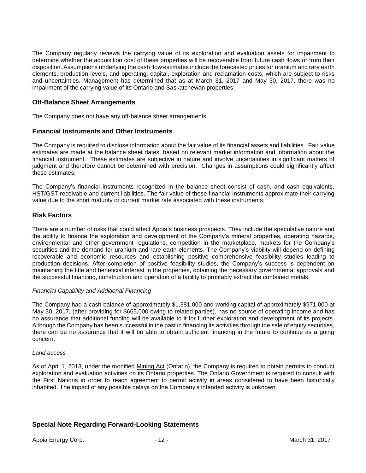The Company regularly reviews the carrying value of its exploration and evaluation assets for impairment to determine whether the acquisition cost of these properties will be recoverable from future cash flows or from their disposition. Assumptions underlying the cash flow estimates include the forecasted prices for uranium and rare earth elements, production levels, and operating, capital, exploration and reclamation costs, which are subject to risks and uncertainties. Management has determined that as at March 31, 2017 and May 30, 2017, there was no impairment of the carrying value of its Ontario and Saskatchewan properties.

#### **Off-Balance Sheet Arrangements**

The Company does not have any off-balance sheet arrangements.

#### **Financial Instruments and Other Instruments**

The Company is required to disclose information about the fair value of its financial assets and liabilities. Fair value estimates are made at the balance sheet dates, based on relevant market information and information about the financial instrument. These estimates are subjective in nature and involve uncertainties in significant matters of judgment and therefore cannot be determined with precision. Changes in assumptions could significantly affect these estimates.

The Company's financial instruments recognized in the balance sheet consist of cash, and cash equivalents, HST/GST receivable and current liabilities. The fair value of these financial instruments approximate their carrying value due to the short maturity or current market rate associated with these instruments.

#### **Risk Factors**

There are a number of risks that could affect Appia's business prospects. They include the speculative nature and the ability to finance the exploration and development of the Company's mineral properties, operating hazards, environmental and other government regulations, competition in the marketplace, markets for the Company's securities and the demand for uranium and rare earth elements. The Company's viability will depend on defining recoverable and economic resources and establishing positive comprehensive feasibility studies leading to production decisions. After completion of positive feasibility studies, the Company's success is dependent on maintaining the title and beneficial interest in the properties, obtaining the necessary governmental approvals and the successful financing, construction and operation of a facility to profitably extract the contained metals.

#### *Financial Capability and Additional Financing*

The Company had a cash balance of approximately \$1,381,000 and working capital of approximately \$971,000 at May 30, 2017, (after providing for \$665,000 owing to related parties), has no source of operating income and has no assurance that additional funding will be available to it for further exploration and development of its projects. Although the Company has been successful in the past in financing its activities through the sale of equity securities, there can be no assurance that it will be able to obtain sufficient financing in the future to continue as a going concern.

#### *Land access*

As of April 1, 2013, under the modified Mining Act (Ontario), the Company is required to obtain permits to conduct exploration and evaluation activities on its Ontario properties. The Ontario Government is required to consult with the First Nations in order to reach agreement to permit activity in areas considered to have been historically inhabited. The impact of any possible delays on the Company's intended activity is unknown.

#### **Special Note Regarding Forward-Looking Statements**